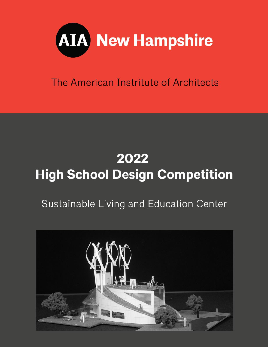

The American Instritute of Architects

# 2022 **High School Design Competition**

## Sustainable Living and Education Center

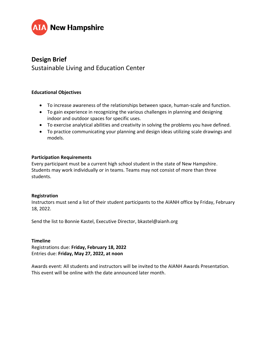

### **Design Brief**

Sustainable Living and Education Center

#### **Educational Objectives**

- To increase awareness of the relationships between space, human-scale and function.
- To gain experience in recognizing the various challenges in planning and designing indoor and outdoor spaces for specific uses.
- To exercise analytical abilities and creativity in solving the problems you have defined.
- To practice communicating your planning and design ideas utilizing scale drawings and models.

#### **Participation Requirements**

Every participant must be a current high school student in the state of New Hampshire. Students may work individually or in teams. Teams may not consist of more than three students.

#### **Registration**

Instructors must send a list of their student participants to the AIANH office by Friday, February 18, 2022.

Send the list to Bonnie Kastel, Executive Director, bkastel@aianh.org

#### **Timeline**

Registrations due: **Friday, February 18, 2022** Entries due: **Friday, May 27, 2022, at noon**

Awards event: All students and instructors will be invited to the AIANH Awards Presentation. This event will be online with the date announced later month.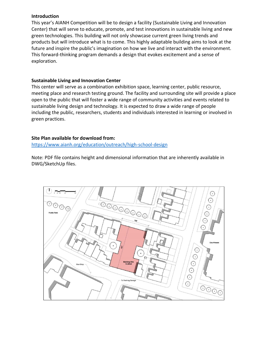#### **Introduction**

This year's AIANH Competition will be to design a facility (Sustainable Living and Innovation Center) that will serve to educate, promote, and test innovations in sustainable living and new green technologies. This building will not only showcase current green living trends and products but will introduce what is to come. This highly adaptable building aims to look at the future and inspire the public's imagination on how we live and interact with the environment. This forward-thinking program demands a design that evokes excitement and a sense of exploration.

#### **Sustainable Living and Innovation Center**

This center will serve as a combination exhibition space, learning center, public resource, meeting place and research testing ground. The facility and surrounding site will provide a place open to the public that will foster a wide range of community activities and events related to sustainable living design and technology. It is expected to draw a wide range of people including the public, researchers, students and individuals interested in learning or involved in green practices.

#### **Site Plan available for download from:**

<https://www.aianh.org/education/outreach/high-school-design>

Note: PDF file contains height and dimensional information that are inherently available in DWG/SketchUp files.

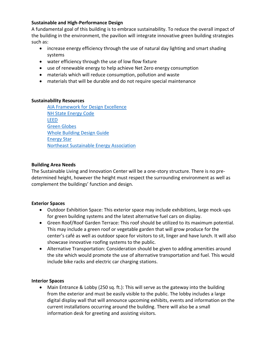#### **Sustainable and High-Performance Design**

A fundamental goal of this building is to embrace sustainability. To reduce the overall impact of the building in the environment, the pavilion will integrate innovative green building strategies such as:

- increase energy efficiency through the use of natural day lighting and smart shading systems
- water efficiency through the use of low flow fixture
- use of renewable energy to help achieve Net Zero energy consumption
- materials which will reduce consumption, pollution and waste
- materials that will be durable and do not require special maintenance

#### **Sustainability Resources**

[AIA Framework for Design Excellence](https://www.aia.org/resources/6077668-framework-for-design-excellence) [NH State Energy Code](http://www.puc.state.nh.us/EnergyCodes/energypg.htm) [LEED](https://www.usgbc.org/) [Green Globes](http://www.greenglobes.com/home.asp) [Whole Building Design Guide](https://www.wbdg.org/) [Energy Star](http://www.energystar.gov/) [Northeast Sustainable Energy Association](http://www.nesea.org/)

#### **Building Area Needs**

The Sustainable Living and Innovation Center will be a one-story structure. There is no predetermined height, however the height must respect the surrounding environment as well as complement the buildings' function and design.

#### **Exterior Spaces**

- Outdoor Exhibition Space: This exterior space may include exhibitions, large mock-ups for green building systems and the latest alternative fuel cars on display.
- Green Roof/Roof Garden Terrace: This roof should be utilized to its maximum potential. This may include a green roof or vegetable garden that will grow produce for the center's café as well as outdoor space for visitors to sit, linger and have lunch. It will also showcase innovative roofing systems to the public.
- Alternative Transportation: Consideration should be given to adding amenities around the site which would promote the use of alternative transportation and fuel. This would include bike racks and electric car charging stations.

#### **Interior Spaces**

• Main Entrance & Lobby (250 sq. ft.): This will serve as the gateway into the building from the exterior and must be easily visible to the public. The lobby includes a large digital display wall that will announce upcoming exhibits, events and information on the current installations occurring around the building. There will also be a small information desk for greeting and assisting visitors.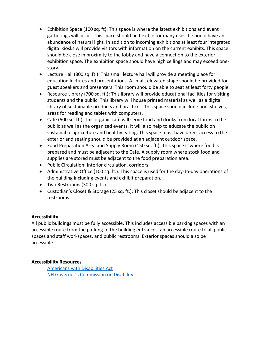- Exhibition Space (100 sq. ft): This space is where the latest exhibitions and event gatherings will occur. This space should be flexible for many uses. It should have an abundance of natural light. In addition to incoming exhibitions at least four integrated digital kiosks will provide visitors with information on the current exhibits. This space should be close in proximity to the lobby and have a connection to the exterior exhibition space. The exhibition space should have high ceilings and may exceed onestory.
- Lecture Hall (800 sq. ft.): This small lecture hall will provide a meeting place for education lectures and presentations. A small, elevated stage should be provided for guest speakers and presenters. This room should be able to seat at least forty people.
- Resource Library (700 sq. ft.): This library will provide educational facilities for visiting students and the public. This library will house printed material as well as a digital library of sustainable products and practices. This space should include bookshelves, areas for reading and tables with computers.
- Café (500 sq. ft.): This organic café will serve food and drinks from local farms to the public as well as the organized events. It will also help to educate the public on sustainable agriculture and healthy eating. This space must have direct access to the exterior and seating should be provided at an adjacent outdoor space.
- Food Preparation Area and Supply Room (150 sq. ft.): This space is where food is prepared and must be adjacent to the Café. A supply room where stock food and supplies are stored must be adjacent to the food preparation area.
- Public Circulation: Interior circulation, corridors.
- Administrative Office (100 sq. ft.): This space is used for the day-to-day operations of the building including events and exhibit preparation.
- Two Restrooms (300 sq. ft.)
- Custodian's Closet & Storage (25 sq. ft.): This closet should be adjacent to the restrooms.

#### **Accessibility**

All public buildings must be fully accessible. This includes accessible parking spaces with an accessible route from the parking to the building entrances, an accessible route to all public spaces and staff workspaces, and public restrooms. Exterior spaces should also be accessible.

#### **Accessibility Resources**

[Americans with Disabilities Act](https://www.ada.gov/2010ADAstandards_index.htm) [NH Governor's Commission on Disability](https://www.nh.gov/disability/)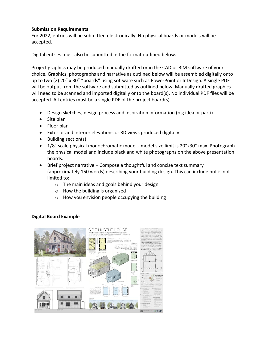#### **Submission Requirements**

For 2022, entries will be submitted electronically. No physical boards or models will be accepted.

Digital entries must also be submitted in the format outlined below.

Project graphics may be produced manually drafted or in the CAD or BIM software of your choice. Graphics, photographs and narrative as outlined below will be assembled digitally onto up to two (2) 20" x 30" "boards" using software such as PowerPoint or InDesign. A single PDF will be output from the software and submitted as outlined below. Manually drafted graphics will need to be scanned and imported digitally onto the board(s). No individual PDF files will be accepted. All entries must be a single PDF of the project board(s).

- Design sketches, design process and inspiration information (big idea or parti)
- Site plan
- Floor plan
- Exterior and interior elevations or 3D views produced digitally
- Building section(s)
- 1/8" scale physical monochromatic model model size limit is 20"x30" max. Photograph the physical model and include black and white photographs on the above presentation boards.
- Brief project narrative Compose a thoughtful and concise text summary (approximately 150 words) describing your building design. This can include but is not limited to:
	- o The main ideas and goals behind your design
	- o How the building is organized
	- o How you envision people occupying the building

#### **Digital Board Example**